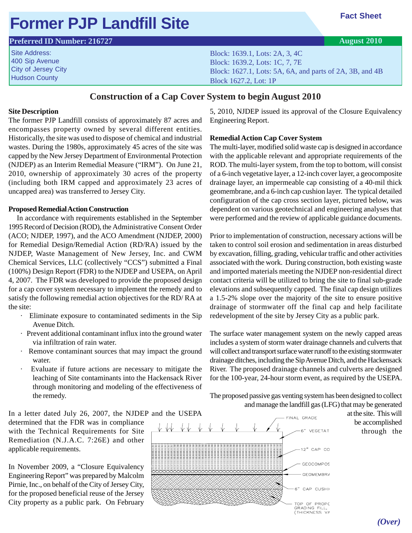## **Former PJP Landfill Site**

### **Preferred ID Number: 216727**

Site Address: 400 Sip Avenue City of Jersey City Hudson County

Block: 1639.1, Lots: 2A, 3, 4C Block: 1639.2, Lots: 1C, 7, 7E Block: 1627.1, Lots: 5A, 6A, and parts of 2A, 3B, and 4B Block 1627.2, Lot: 1P

### **Construction of a Cap Cover System to begin August 2010**

### **Site Description**

The former PJP Landfill consists of approximately 87 acres and encompasses property owned by several different entities. Historically, the site was used to dispose of chemical and industrial wastes. During the 1980s, approximately 45 acres of the site was capped by the New Jersey Department of Environmental Protection (NJDEP) as an Interim Remedial Measure ("IRM"). On June 21, 2010, ownership of approximately 30 acres of the property (including both IRM capped and approximately 23 acres of uncapped area) was transferred to Jersey City.

#### **Proposed Remedial Action Construction**

 In accordance with requirements established in the September 1995 Record of Decision (ROD), the Administrative Consent Order (ACO; NJDEP, 1997), and the ACO Amendment (NJDEP, 2000) for Remedial Design/Remedial Action (RD/RA) issued by the NJDEP, Waste Management of New Jersey, Inc. and CWM Chemical Services, LLC (collectively "CCS") submitted a Final (100%) Design Report (FDR) to the NJDEP and USEPA, on April 4, 2007. The FDR was developed to provide the proposed design for a cap cover system necessary to implement the remedy and to satisfy the following remedial action objectives for the RD/ RA at the site:

- · Eliminate exposure to contaminated sediments in the Sip Avenue Ditch.
- · Prevent additional contaminant influx into the ground water via infiltration of rain water.
- · Remove contaminant sources that may impact the ground water.
- · Evaluate if future actions are necessary to mitigate the leaching of Site contaminants into the Hackensack River through monitoring and modeling of the effectiveness of the remedy.

In a letter dated July 26, 2007, the NJDEP and the USEPA determined that the FDR was in compliance with the Technical Requirements for Site Remediation (N.J.A.C. 7:26E) and other applicable requirements.

In November 2009, a "Closure Equivalency Engineering Report" was prepared by Malcolm Pirnie, Inc., on behalf of the City of Jersey City, for the proposed beneficial reuse of the Jersey City property as a public park. On February

5, 2010, NJDEP issued its approval of the Closure Equivalency Engineering Report.

### **Remedial Action Cap Cover System**

The multi-layer, modified solid waste cap is designed in accordance with the applicable relevant and appropriate requirements of the ROD. The multi-layer system, from the top to bottom, will consist of a 6-inch vegetative layer, a 12-inch cover layer, a geocomposite drainage layer, an impermeable cap consisting of a 40-mil thick geomembrane, and a 6-inch cap cushion layer. The typical detailed configuration of the cap cross section layer, pictured below, was dependent on various geotechnical and engineering analyses that were performed and the review of applicable guidance documents.

Prior to implementation of construction, necessary actions will be taken to control soil erosion and sedimentation in areas disturbed by excavation, filling, grading, vehicular traffic and other activities associated with the work. During construction, both existing waste and imported materials meeting the NJDEP non-residential direct contact criteria will be utilized to bring the site to final sub-grade elevations and subsequently capped. The final cap design utilizes a 1.5-2% slope over the majority of the site to ensure positive drainage of stormwater off the final cap and help facilitate redevelopment of the site by Jersey City as a public park.

The surface water management system on the newly capped areas includes a system of storm water drainage channels and culverts that will collect and transport surface water runoff to the existing stormwater drainage ditches, including the Sip Avenue Ditch, and the Hackensack River. The proposed drainage channels and culverts are designed for the 100-year, 24-hour storm event, as required by the USEPA.

The proposed passive gas venting system has been designed to collect and manage the landfill gas (LFG) that may be generated

at the site. This will be accomplished through the



**Fact Sheet**

**August 2010**